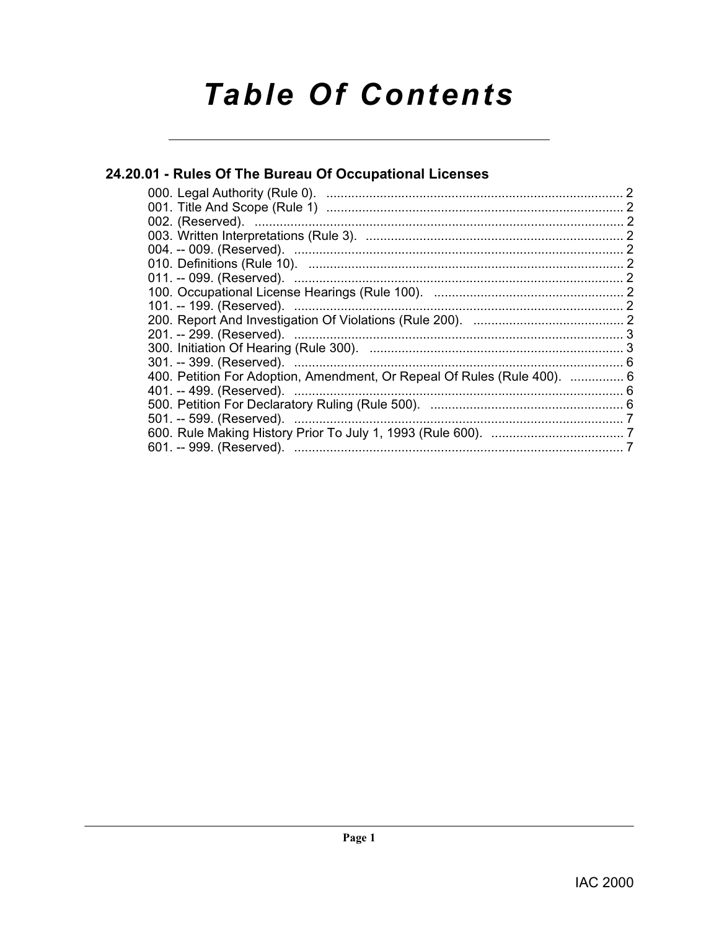# **Table Of Contents**

# 24.20.01 - Rules Of The Bureau Of Occupational Licenses

| 400. Petition For Adoption, Amendment, Or Repeal Of Rules (Rule 400).  6 |  |
|--------------------------------------------------------------------------|--|
|                                                                          |  |
|                                                                          |  |
|                                                                          |  |
|                                                                          |  |
|                                                                          |  |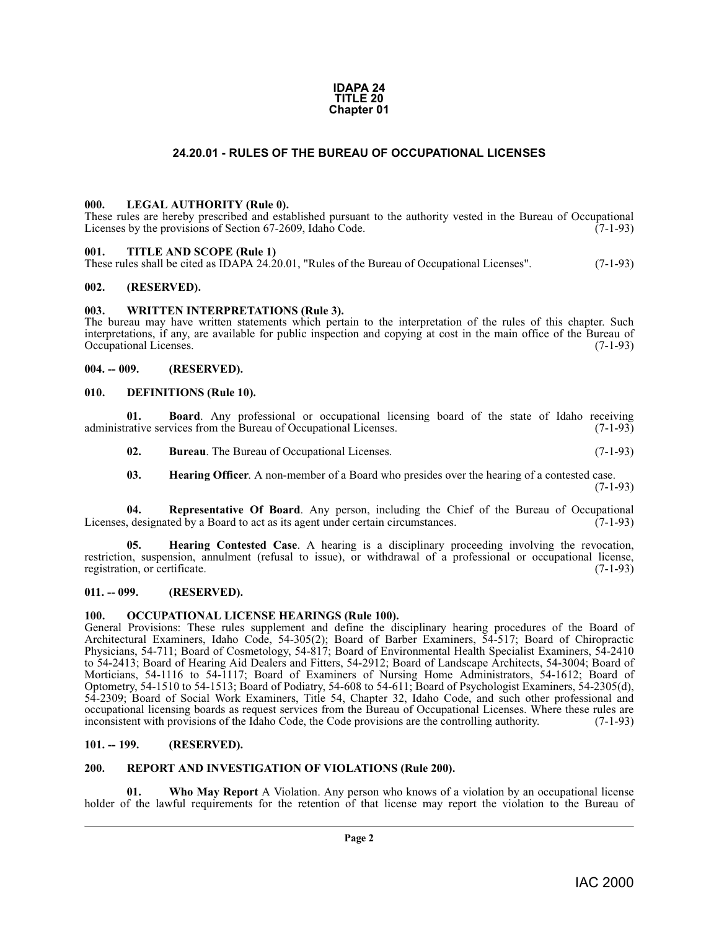#### **IDAPA 24 TITLE 20 Chapter 01**

### **24.20.01 - RULES OF THE BUREAU OF OCCUPATIONAL LICENSES**

#### <span id="page-1-16"></span><span id="page-1-1"></span><span id="page-1-0"></span>**000. LEGAL AUTHORITY (Rule 0).**

These rules are hereby prescribed and established pursuant to the authority vested in the Bureau of Occupational Licenses by the provisions of Section 67-2609, Idaho Code. (7-1-93)

#### <span id="page-1-20"></span><span id="page-1-2"></span>**001. TITLE AND SCOPE (Rule 1)**

These rules shall be cited as IDAPA 24.20.01, "Rules of the Bureau of Occupational Licenses". (7-1-93)

#### <span id="page-1-3"></span>**002. (RESERVED).**

#### <span id="page-1-22"></span><span id="page-1-4"></span>**003. WRITTEN INTERPRETATIONS (Rule 3).**

The bureau may have written statements which pertain to the interpretation of the rules of this chapter. Such interpretations, if any, are available for public inspection and copying at cost in the main office of the Bureau of Occupational Licenses. (7-1-93)

#### <span id="page-1-5"></span>**004. -- 009. (RESERVED).**

#### <span id="page-1-13"></span><span id="page-1-6"></span>**010. DEFINITIONS (Rule 10).**

**01. Board**. Any professional or occupational licensing board of the state of Idaho receiving rative services from the Bureau of Occupational Licenses. (7-1-93) administrative services from the Bureau of Occupational Licenses.

<span id="page-1-12"></span><span id="page-1-11"></span>**02. Bureau**. The Bureau of Occupational Licenses. (7-1-93)

<span id="page-1-19"></span><span id="page-1-15"></span><span id="page-1-14"></span>**03. Hearing Officer**. A non-member of a Board who presides over the hearing of a contested case.

(7-1-93)

**04. Representative Of Board**. Any person, including the Chief of the Bureau of Occupational designated by a Board to act as its agent under certain circumstances. (7-1-93) Licenses, designated by a Board to act as its agent under certain circumstances.

**05. Hearing Contested Case**. A hearing is a disciplinary proceeding involving the revocation, restriction, suspension, annulment (refusal to issue), or withdrawal of a professional or occupational license, registration, or certificate. (7-1-93) registration, or certificate.

#### <span id="page-1-7"></span>**011. -- 099. (RESERVED).**

#### <span id="page-1-17"></span><span id="page-1-8"></span>**100. OCCUPATIONAL LICENSE HEARINGS (Rule 100).**

General Provisions: These rules supplement and define the disciplinary hearing procedures of the Board of Architectural Examiners, Idaho Code, 54-305(2); Board of Barber Examiners, 54-517; Board of Chiropractic Physicians, 54-711; Board of Cosmetology, 54-817; Board of Environmental Health Specialist Examiners, 54-2410 to 54-2413; Board of Hearing Aid Dealers and Fitters, 54-2912; Board of Landscape Architects, 54-3004; Board of Morticians, 54-1116 to 54-1117; Board of Examiners of Nursing Home Administrators, 54-1612; Board of Optometry, 54-1510 to 54-1513; Board of Podiatry, 54-608 to 54-611; Board of Psychologist Examiners, 54-2305(d), 54-2309; Board of Social Work Examiners, Title 54, Chapter 32, Idaho Code, and such other professional and occupational licensing boards as request services from the Bureau of Occupational Licenses. Where these rules are inconsistent with provisions of the Idaho Code, the Code provisions are the controlling authority. (7-1-93)

#### <span id="page-1-9"></span>**101. -- 199. (RESERVED).**

#### <span id="page-1-18"></span><span id="page-1-10"></span>**200. REPORT AND INVESTIGATION OF VIOLATIONS (Rule 200).**

<span id="page-1-21"></span>**01. Who May Report** A Violation. Any person who knows of a violation by an occupational license holder of the lawful requirements for the retention of that license may report the violation to the Bureau of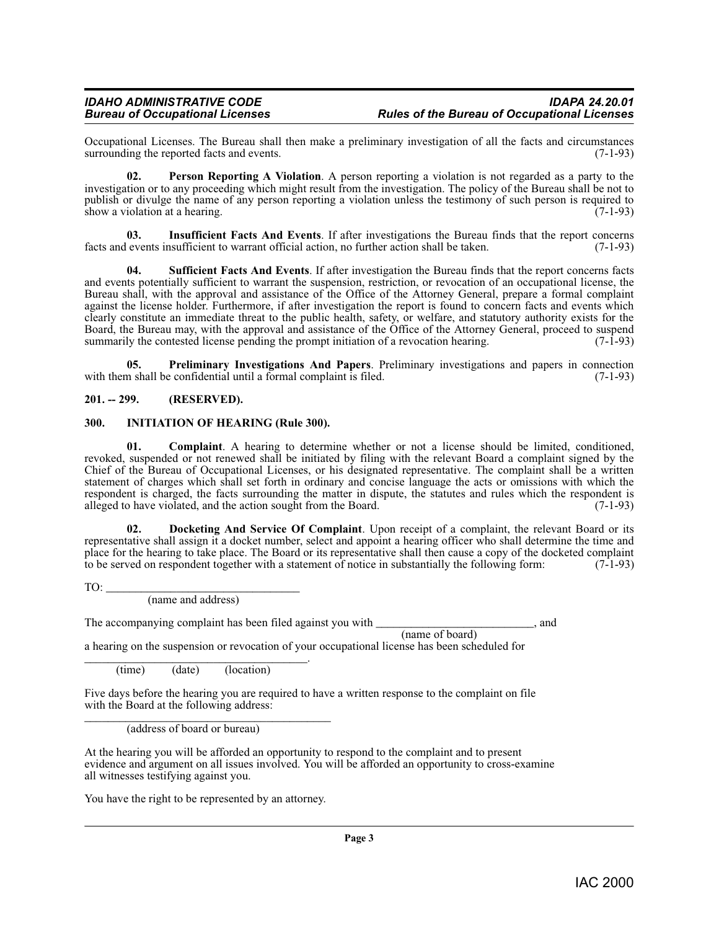Occupational Licenses. The Bureau shall then make a preliminary investigation of all the facts and circumstances surrounding the reported facts and events.

<span id="page-2-6"></span>**02. Person Reporting A Violation**. A person reporting a violation is not regarded as a party to the investigation or to any proceeding which might result from the investigation. The policy of the Bureau shall be not to publish or divulge the name of any person reporting a violation unless the testimony of such person is required to show a violation at a hearing. show a violation at a hearing.

<span id="page-2-5"></span>**03. Insufficient Facts And Events**. If after investigations the Bureau finds that the report concerns facts and events insufficient to warrant official action, no further action shall be taken. (7-1-93)

<span id="page-2-8"></span>**Sufficient Facts And Events**. If after investigation the Bureau finds that the report concerns facts and events potentially sufficient to warrant the suspension, restriction, or revocation of an occupational license, the Bureau shall, with the approval and assistance of the Office of the Attorney General, prepare a formal complaint against the license holder. Furthermore, if after investigation the report is found to concern facts and events which clearly constitute an immediate threat to the public health, safety, or welfare, and statutory authority exists for the Board, the Bureau may, with the approval and assistance of the Office of the Attorney General, proceed to suspend<br>summarily the contested license pending the prompt initiation of a revocation hearing. (7-1-93) summarily the contested license pending the prompt initiation of a revocation hearing.

<span id="page-2-7"></span>**05. Preliminary Investigations And Papers**. Preliminary investigations and papers in connection with them shall be confidential until a formal complaint is filed. (7-1-93)

### <span id="page-2-0"></span>**201. -- 299. (RESERVED).**

#### <span id="page-2-4"></span><span id="page-2-1"></span>**300. INITIATION OF HEARING (Rule 300).**

<span id="page-2-2"></span>**01. Complaint**. A hearing to determine whether or not a license should be limited, conditioned, revoked, suspended or not renewed shall be initiated by filing with the relevant Board a complaint signed by the Chief of the Bureau of Occupational Licenses, or his designated representative. The complaint shall be a written statement of charges which shall set forth in ordinary and concise language the acts or omissions with which the respondent is charged, the facts surrounding the matter in dispute, the statutes and rules which the respondent is alleged to have violated, and the action sought from the Board. (7-1-93) alleged to have violated, and the action sought from the Board.

**02. Docketing And Service Of Complaint**. Upon receipt of a complaint, the relevant Board or its representative shall assign it a docket number, select and appoint a hearing officer who shall determine the time and place for the hearing to take place. The Board or its representative shall then cause a copy of the docketed complaint to be served on respondent together with a statement of notice in substantially the following form: (7-1-93)

 $TO:$ 

<span id="page-2-3"></span>(name and address)

The accompanying complaint has been filed against you with \_\_\_\_\_\_\_\_\_\_\_\_\_\_\_\_\_\_\_\_\_\_\_\_\_, and (name of board)

a hearing on the suspension or revocation of your occupational license has been scheduled for

\_\_\_\_\_\_\_\_\_\_\_\_\_\_\_\_\_\_\_\_\_\_\_\_\_\_\_\_\_\_\_\_\_\_\_\_\_\_. (time) (date) (location)

Five days before the hearing you are required to have a written response to the complaint on file with the Board at the following address:

\_\_\_\_\_\_\_\_\_\_\_\_\_\_\_\_\_\_\_\_\_\_\_\_\_\_\_\_\_\_\_\_\_\_\_\_\_\_\_\_\_\_ (address of board or bureau)

At the hearing you will be afforded an opportunity to respond to the complaint and to present evidence and argument on all issues involved. You will be afforded an opportunity to cross-examine all witnesses testifying against you.

You have the right to be represented by an attorney.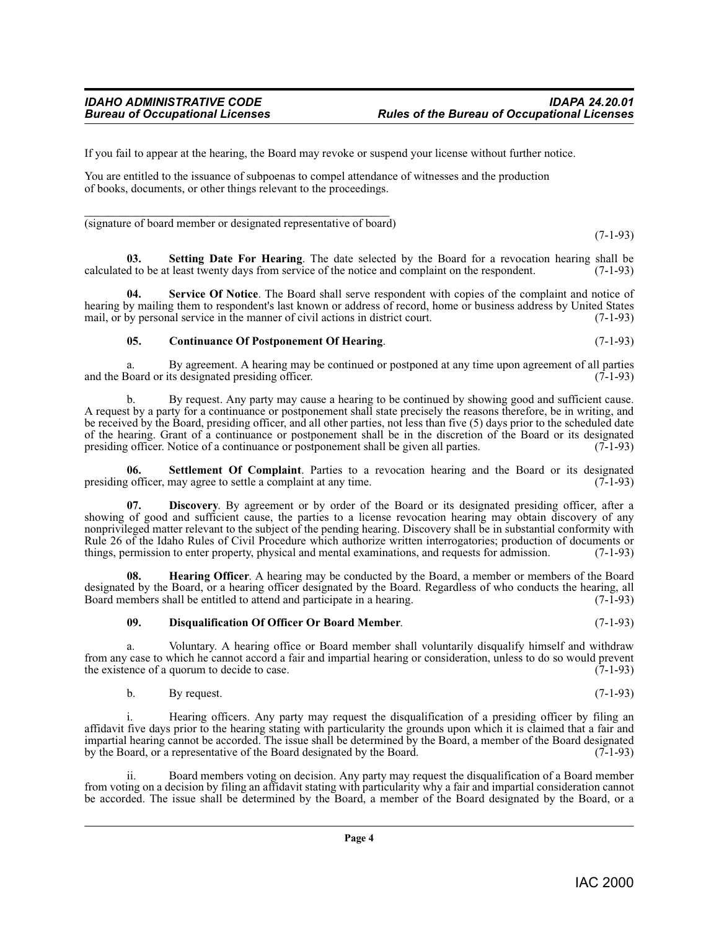(7-1-93)

If you fail to appear at the hearing, the Board may revoke or suspend your license without further notice.

You are entitled to the issuance of subpoenas to compel attendance of witnesses and the production of books, documents, or other things relevant to the proceedings.

\_\_\_\_\_\_\_\_\_\_\_\_\_\_\_\_\_\_\_\_\_\_\_\_\_\_\_\_\_\_\_\_\_\_\_\_\_\_\_\_\_\_\_\_\_\_\_\_\_\_\_\_ (signature of board member or designated representative of board)

<span id="page-3-5"></span>**03.** Setting Date For Hearing. The date selected by the Board for a revocation hearing shall be d to be at least twenty days from service of the notice and complaint on the respondent. (7-1-93) calculated to be at least twenty days from service of the notice and complaint on the respondent.

**Service Of Notice**. The Board shall serve respondent with copies of the complaint and notice of hearing by mailing them to respondent's last known or address of record, home or business address by United States mail, or by personal service in the manner of civil actions in district court. (7-1-93)

### <span id="page-3-4"></span><span id="page-3-0"></span>**05. Continuance Of Postponement Of Hearing**. (7-1-93)

a. By agreement. A hearing may be continued or postponed at any time upon agreement of all parties 30 and or its designated presiding officer. and the Board or its designated presiding officer.

b. By request. Any party may cause a hearing to be continued by showing good and sufficient cause. A request by a party for a continuance or postponement shall state precisely the reasons therefore, be in writing, and be received by the Board, presiding officer, and all other parties, not less than five (5) days prior to the scheduled date of the hearing. Grant of a continuance or postponement shall be in the discretion of the Board or its designated presiding officer. Notice of a continuance or postponement shall be given all parties. (7-1-93) presiding officer. Notice of a continuance or postponement shall be given all parties.

<span id="page-3-6"></span>**Settlement Of Complaint**. Parties to a revocation hearing and the Board or its designated may agree to settle a complaint at any time. (7-1-93) presiding officer, may agree to settle a complaint at any time.

<span id="page-3-1"></span>**07. Discovery**. By agreement or by order of the Board or its designated presiding officer, after a showing of good and sufficient cause, the parties to a license revocation hearing may obtain discovery of any nonprivileged matter relevant to the subject of the pending hearing. Discovery shall be in substantial conformity with Rule 26 of the Idaho Rules of Civil Procedure which authorize written interrogatories; production of documents or things, permission to enter property, physical and mental examinations, and requests for admission. (7-1-93)

**08. Hearing Officer**. A hearing may be conducted by the Board, a member or members of the Board designated by the Board, or a hearing officer designated by the Board. Regardless of who conducts the hearing, all Board members shall be entitled to attend and participate in a hearing. (7-1-93) Board members shall be entitled to attend and participate in a hearing.

#### <span id="page-3-3"></span><span id="page-3-2"></span>**09. Disqualification Of Officer Or Board Member**. (7-1-93)

a. Voluntary. A hearing office or Board member shall voluntarily disqualify himself and withdraw from any case to which he cannot accord a fair and impartial hearing or consideration, unless to do so would prevent<br>the existence of a quorum to decide to case. the existence of a quorum to decide to case.

b. By request.  $(7-1-93)$ 

i. Hearing officers. Any party may request the disqualification of a presiding officer by filing an affidavit five days prior to the hearing stating with particularity the grounds upon which it is claimed that a fair and impartial hearing cannot be accorded. The issue shall be determined by the Board, a member of the Board designated by the Board, or a representative of the Board designated by the Board.

ii. Board members voting on decision. Any party may request the disqualification of a Board member from voting on a decision by filing an affidavit stating with particularity why a fair and impartial consideration cannot be accorded. The issue shall be determined by the Board, a member of the Board designated by the Board, or a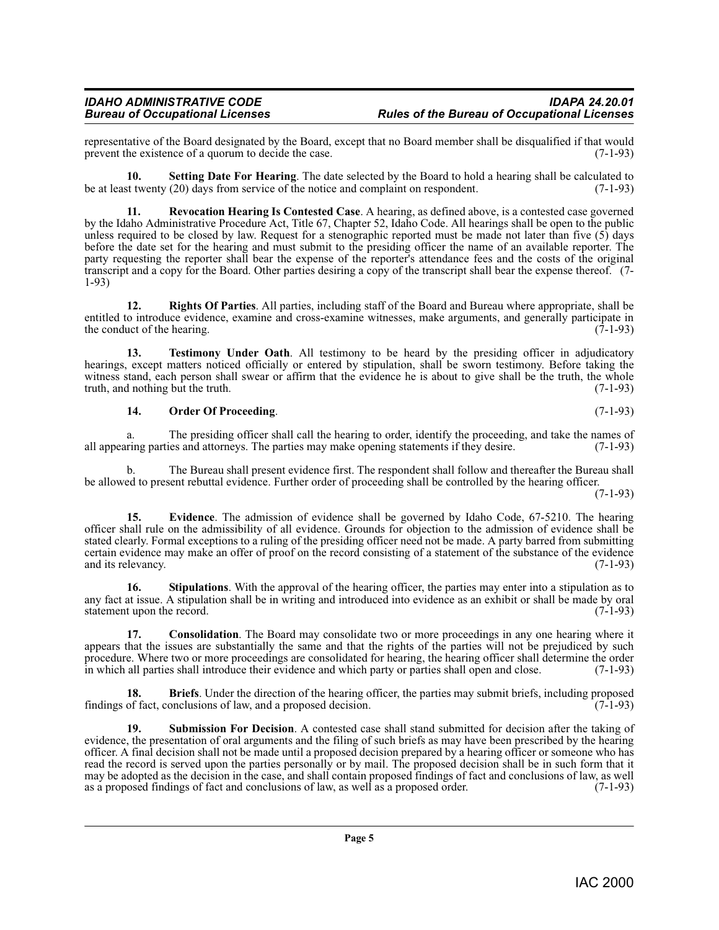representative of the Board designated by the Board, except that no Board member shall be disqualified if that would prevent the existence of a quorum to decide the case. prevent the existence of a quorum to decide the case.

<span id="page-4-6"></span>**10.** Setting Date For Hearing. The date selected by the Board to hold a hearing shall be calculated to st twenty (20) days from service of the notice and complaint on respondent. (7-1-93) be at least twenty  $(20)$  days from service of the notice and complaint on respondent.

<span id="page-4-4"></span>**11. Revocation Hearing Is Contested Case**. A hearing, as defined above, is a contested case governed by the Idaho Administrative Procedure Act, Title 67, Chapter 52, Idaho Code. All hearings shall be open to the public unless required to be closed by law. Request for a stenographic reported must be made not later than five (5) days before the date set for the hearing and must submit to the presiding officer the name of an available reporter. The party requesting the reporter shall bear the expense of the reporter's attendance fees and the costs of the original transcript and a copy for the Board. Other parties desiring a copy of the transcript shall bear the expense thereof. (7- 1-93)

<span id="page-4-5"></span>**12. Rights Of Parties**. All parties, including staff of the Board and Bureau where appropriate, shall be entitled to introduce evidence, examine and cross-examine witnesses, make arguments, and generally participate in the conduct of the hearing. (7-1-93) the conduct of the hearing.

**13. Testimony Under Oath.** All testimony to be heard by the presiding officer in adjudicatory hearings, except matters noticed officially or entered by stipulation, shall be sworn testimony. Before taking the witness stand, each person shall swear or affirm that the evidence he is about to give shall be the truth, the whole truth, and nothing but the truth. (7-1-93)

#### <span id="page-4-9"></span><span id="page-4-3"></span>**14. Order Of Proceeding**. (7-1-93)

a. The presiding officer shall call the hearing to order, identify the proceeding, and take the names of ring parties and attorneys. The parties may make opening statements if they desire. (7-1-93) all appearing parties and attorneys. The parties may make opening statements if they desire.

b. The Bureau shall present evidence first. The respondent shall follow and thereafter the Bureau shall be allowed to present rebuttal evidence. Further order of proceeding shall be controlled by the hearing officer.

(7-1-93)

<span id="page-4-2"></span>**15. Evidence**. The admission of evidence shall be governed by Idaho Code, 67-5210. The hearing officer shall rule on the admissibility of all evidence. Grounds for objection to the admission of evidence shall be stated clearly. Formal exceptions to a ruling of the presiding officer need not be made. A party barred from submitting certain evidence may make an offer of proof on the record consisting of a statement of the substance of the evidence and its relevancy. (7-1-93)

<span id="page-4-7"></span>**16.** Stipulations. With the approval of the hearing officer, the parties may enter into a stipulation as to any fact at issue. A stipulation shall be in writing and introduced into evidence as an exhibit or shall be made by oral statement upon the record.  $(7-1-93)$ statement upon the record.

<span id="page-4-1"></span>**17. Consolidation**. The Board may consolidate two or more proceedings in any one hearing where it appears that the issues are substantially the same and that the rights of the parties will not be prejudiced by such procedure. Where two or more proceedings are consolidated for hearing, the hearing officer shall determine the order<br>in which all parties shall introduce their evidence and which party or parties shall open and close. (7-1 in which all parties shall introduce their evidence and which party or parties shall open and close.

<span id="page-4-0"></span>**18. Briefs**. Under the direction of the hearing officer, the parties may submit briefs, including proposed findings of fact, conclusions of law, and a proposed decision. (7-1-93)

<span id="page-4-8"></span>**19. Submission For Decision**. A contested case shall stand submitted for decision after the taking of evidence, the presentation of oral arguments and the filing of such briefs as may have been prescribed by the hearing officer. A final decision shall not be made until a proposed decision prepared by a hearing officer or someone who has read the record is served upon the parties personally or by mail. The proposed decision shall be in such form that it may be adopted as the decision in the case, and shall contain proposed findings of fact and conclusions of law, as well as a proposed order. (7-1-93) as a proposed findings of fact and conclusions of law, as well as a proposed order.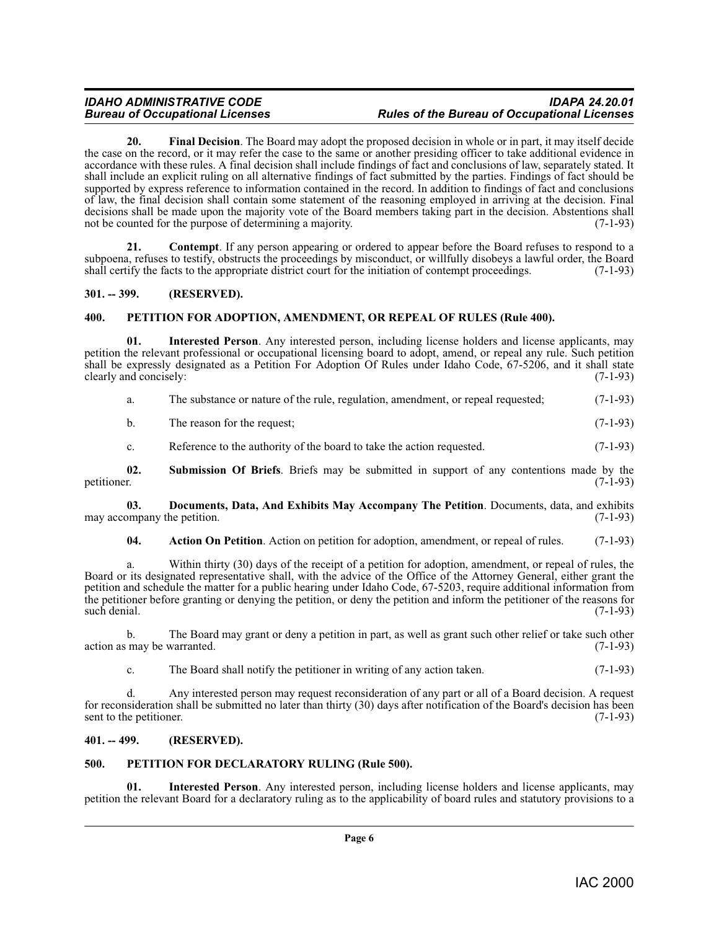### *IDAHO ADMINISTRATIVE CODE IDAPA 24.20.01 Bureau of Occupational Licenses Rules of the Bureau of Occupational Licenses*

<span id="page-5-7"></span>**20. Final Decision**. The Board may adopt the proposed decision in whole or in part, it may itself decide the case on the record, or it may refer the case to the same or another presiding officer to take additional evidence in accordance with these rules. A final decision shall include findings of fact and conclusions of law, separately stated. It shall include an explicit ruling on all alternative findings of fact submitted by the parties. Findings of fact should be supported by express reference to information contained in the record. In addition to findings of fact and conclusions of law, the final decision shall contain some statement of the reasoning employed in arriving at the decision. Final decisions shall be made upon the majority vote of the Board members taking part in the decision. Abstentions shall<br>not be counted for the purpose of determining a majority. (7-1-93) not be counted for the purpose of determining a majority.

<span id="page-5-5"></span>**21. Contempt**. If any person appearing or ordered to appear before the Board refuses to respond to a subpoena, refuses to testify, obstructs the proceedings by misconduct, or willfully disobeys a lawful order, the Board shall certify the facts to the appropriate district court for the initiation of contempt proceedings. ( shall certify the facts to the appropriate district court for the initiation of contempt proceedings.

### <span id="page-5-0"></span>**301. -- 399. (RESERVED).**

### <span id="page-5-8"></span><span id="page-5-1"></span>**400. PETITION FOR ADOPTION, AMENDMENT, OR REPEAL OF RULES (Rule 400).**

**01. Interested Person**. Any interested person, including license holders and license applicants, may petition the relevant professional or occupational licensing board to adopt, amend, or repeal any rule. Such petition shall be expressly designated as a Petition For Adoption Of Rules under Idaho Code, 67-5206, and it shall state clearly and concisely: (7-1-93)

|  | The substance or nature of the rule, regulation, amendment, or repeal requested; | $(7-1-93)$ |
|--|----------------------------------------------------------------------------------|------------|
|--|----------------------------------------------------------------------------------|------------|

b. The reason for the request; (7-1-93)

<span id="page-5-10"></span>c. Reference to the authority of the board to take the action requested. (7-1-93)

**02.** Submission Of Briefs. Briefs may be submitted in support of any contentions made by the petitioner. (7-1-93) petitioner. (7-1-93)

**03. Documents, Data, And Exhibits May Accompany The Petition**. Documents, data, and exhibits ompany the petition. (7-1-93) may accompany the petition.

<span id="page-5-6"></span><span id="page-5-4"></span>**04. Action On Petition**. Action on petition for adoption, amendment, or repeal of rules. (7-1-93)

a. Within thirty (30) days of the receipt of a petition for adoption, amendment, or repeal of rules, the Board or its designated representative shall, with the advice of the Office of the Attorney General, either grant the petition and schedule the matter for a public hearing under Idaho Code, 67-5203, require additional information from the petitioner before granting or denying the petition, or deny the petition and inform the petitioner of the reasons for such denial. (7-1-93) such denial. (7-1-93)

b. The Board may grant or deny a petition in part, as well as grant such other relief or take such other may be warranted. (7-1-93) action as may be warranted.

c. The Board shall notify the petitioner in writing of any action taken. (7-1-93)

d. Any interested person may request reconsideration of any part or all of a Board decision. A request for reconsideration shall be submitted no later than thirty (30) days after notification of the Board's decision has been<br>sent to the petitioner. (7-1-93) sent to the petitioner.

#### <span id="page-5-2"></span>**401. -- 499. (RESERVED).**

### <span id="page-5-9"></span><span id="page-5-3"></span>**500. PETITION FOR DECLARATORY RULING (Rule 500).**

**01. Interested Person**. Any interested person, including license holders and license applicants, may petition the relevant Board for a declaratory ruling as to the applicability of board rules and statutory provisions to a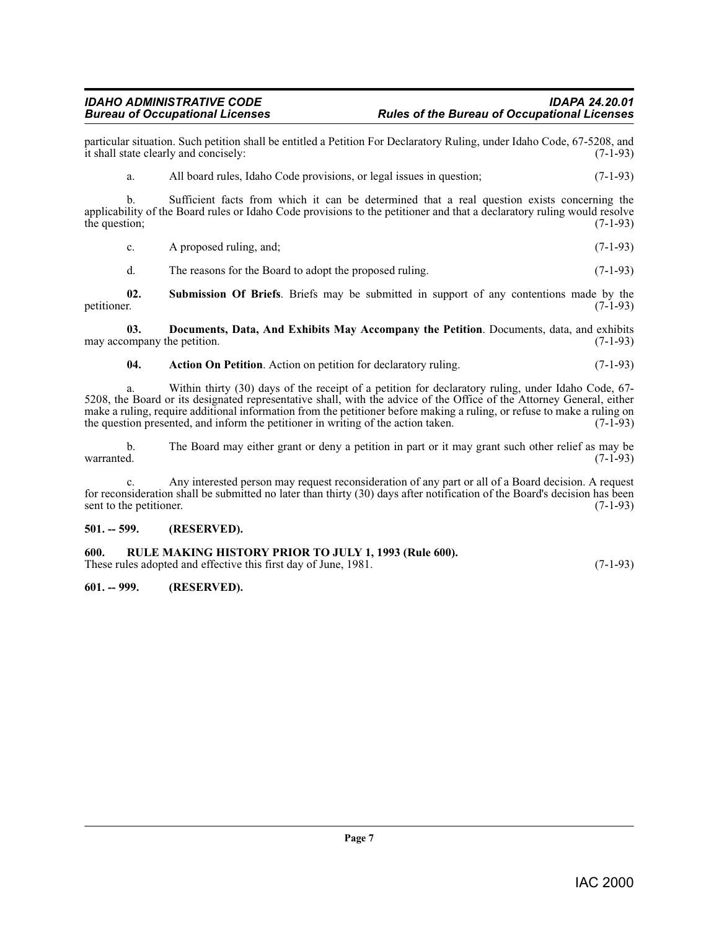particular situation. Such petition shall be entitled a Petition For Declaratory Ruling, under Idaho Code, 67-5208, and it shall state clearly and concisely: (7-1-93)

a. All board rules, Idaho Code provisions, or legal issues in question; (7-1-93)

b. Sufficient facts from which it can be determined that a real question exists concerning the applicability of the Board rules or Idaho Code provisions to the petitioner and that a declaratory ruling would resolve the question; (7-1-93) the question;  $(7-1-93)$ 

c. A proposed ruling, and;  $(7-1-93)$ 

<span id="page-6-6"></span>d. The reasons for the Board to adopt the proposed ruling. (7-1-93)

**02.** Submission Of Briefs. Briefs may be submitted in support of any contentions made by the petitioner. (7-1-93) petitioner. (7-1-93)

**03. Documents, Data, And Exhibits May Accompany the Petition**. Documents, data, and exhibits ompany the petition. (7-1-93) may accompany the petition.

<span id="page-6-4"></span><span id="page-6-3"></span>**04.** Action On Petition. Action on petition for declaratory ruling. (7-1-93)

a. Within thirty (30) days of the receipt of a petition for declaratory ruling, under Idaho Code, 67- 5208, the Board or its designated representative shall, with the advice of the Office of the Attorney General, either make a ruling, require additional information from the petitioner before making a ruling, or refuse to make a ruling on the question presented, and inform the petitioner in writing of the action taken. (7-1-93)

b. The Board may either grant or deny a petition in part or it may grant such other relief as may be warranted. (7-1-93)  $\alpha$  warranted.  $(7-1-93)$ 

c. Any interested person may request reconsideration of any part or all of a Board decision. A request for reconsideration shall be submitted no later than thirty (30) days after notification of the Board's decision has been<br>(7-1-93) sent to the petitioner.

#### <span id="page-6-0"></span>**501. -- 599. (RESERVED).**

### <span id="page-6-5"></span><span id="page-6-1"></span>**600. RULE MAKING HISTORY PRIOR TO JULY 1, 1993 (Rule 600).**

These rules adopted and effective this first day of June, 1981. (7-1-93)

#### <span id="page-6-2"></span>**601. -- 999. (RESERVED).**